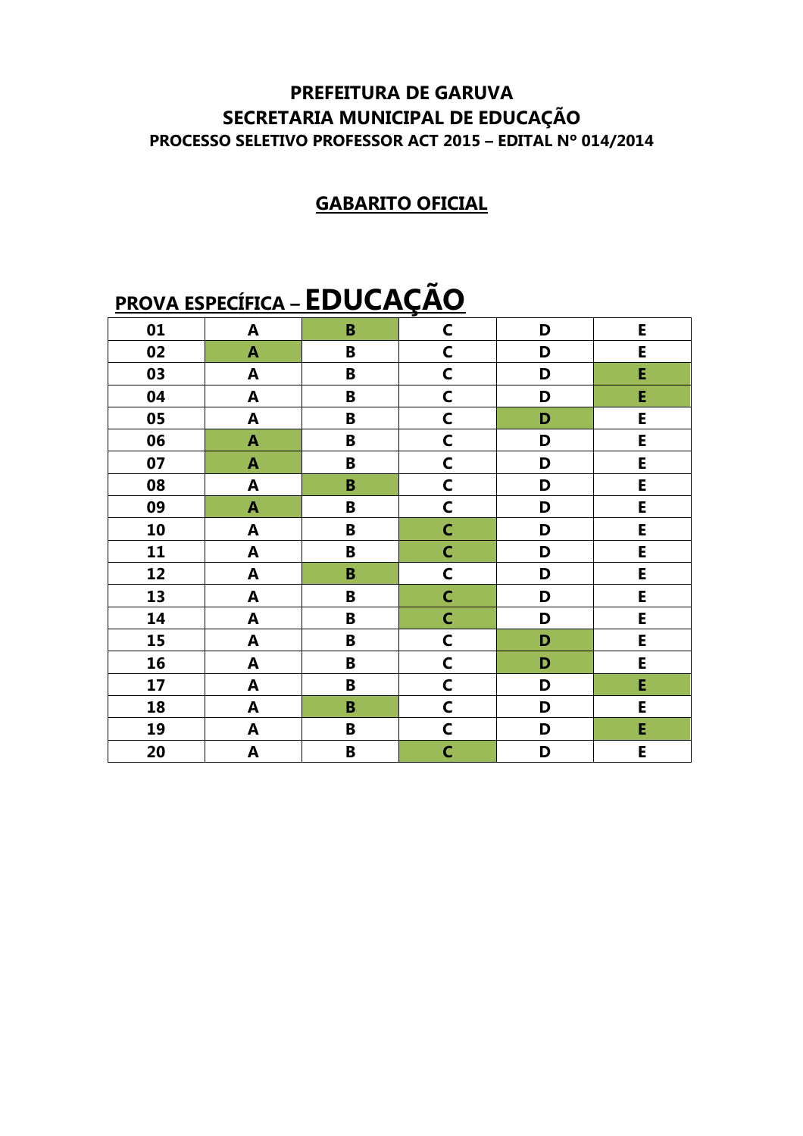#### **PREFEITURA DE GARUVA** SECRETARIA MUNICIPAL DE EDUCAÇÃO PROCESSO SELETIVO PROFESSOR ACT 2015 - EDITAL Nº 014/2014

#### **GABARITO OFICIAL**

## **PROVA ESPECÍFICA - EDUCAÇÃO**

|    |                           |                         | <u>.</u>     |   |   |
|----|---------------------------|-------------------------|--------------|---|---|
| 01 | $\boldsymbol{\mathsf{A}}$ | $\mathbf B$             | $\mathsf{C}$ | D | E |
| 02 | $\pmb{\mathsf{A}}$        | B                       | $\mathsf{C}$ | D | E |
| 03 | $\pmb{\mathsf{A}}$        | B                       | $\mathsf{C}$ | D | Ė |
| 04 | $\pmb{\mathsf{A}}$        | B                       | $\mathsf{C}$ | D | E |
| 05 | $\mathbf{A}$              | B                       | $\mathsf{C}$ | D | E |
| 06 | $\pmb{\mathsf{A}}$        | B                       | $\mathsf{C}$ | D | E |
| 07 | $\mathbf{A}$              | B                       | $\mathsf{C}$ | D | E |
| 08 | $\blacktriangle$          | $\, {\bf B}$            | $\mathsf{C}$ | D | E |
| 09 | $\boldsymbol{\mathsf{A}}$ | B                       | $\mathsf{C}$ | D | E |
| 10 | $\boldsymbol{\mathsf{A}}$ | B                       | $\mathsf{C}$ | D | E |
| 11 | $\boldsymbol{\mathsf{A}}$ | $\, {\bf B}$            | $\mathsf{C}$ | D | E |
| 12 | $\pmb{\mathsf{A}}$        | $\, {\bf B}$            | $\mathsf{C}$ | D | E |
| 13 | $\mathbf{A}$              | $\overline{\mathbf{B}}$ | $\mathsf{C}$ | D | E |
| 14 | $\boldsymbol{\mathsf{A}}$ | B                       | $\mathsf{C}$ | D | E |
| 15 | $\boldsymbol{\mathsf{A}}$ | B                       | $\mathsf{C}$ | D | E |
| 16 | A                         | B                       | $\mathsf{C}$ | D | E |
| 17 | $\blacktriangle$          | B                       | $\mathsf{C}$ | D | E |
| 18 | $\blacktriangle$          | B                       | $\mathsf{C}$ | D | E |
| 19 | $\boldsymbol{\mathsf{A}}$ | B                       | $\mathsf{C}$ | D | E |
| 20 | $\mathbf{A}$              | $\overline{\mathbf{B}}$ | $\mathsf{C}$ | D | E |